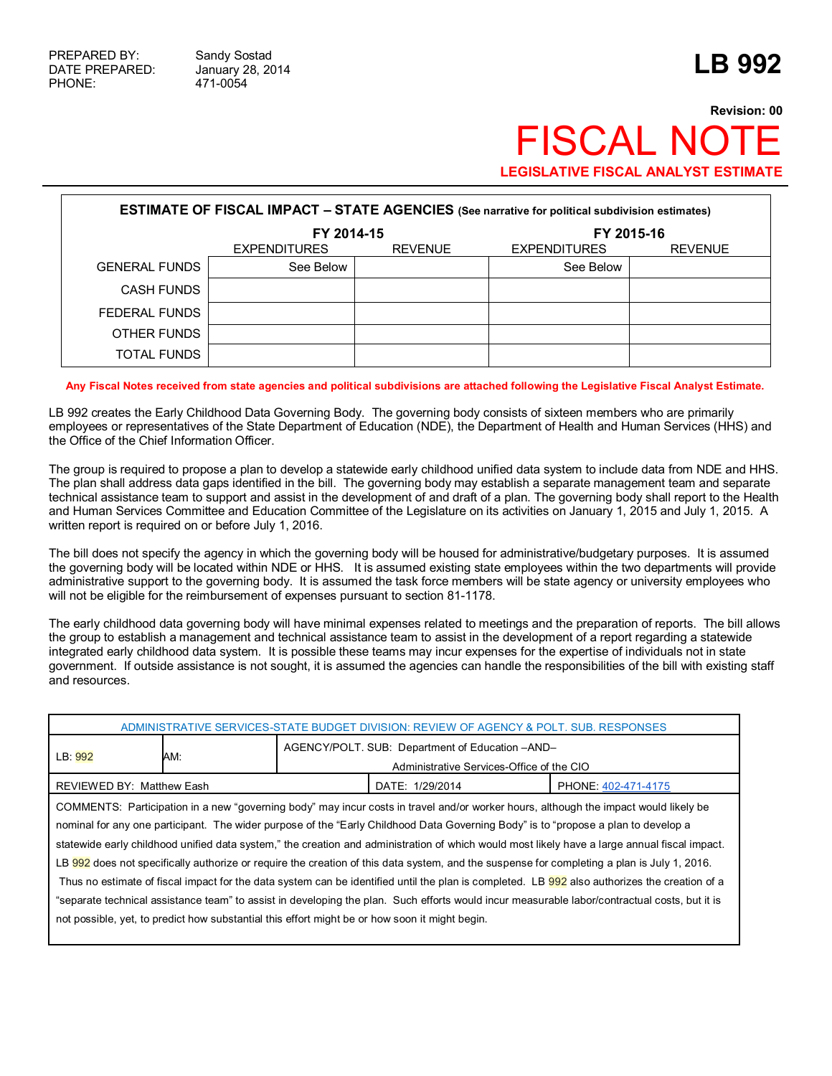## **Revision: 00 FISCAL NO LEGISLATIVE FISCAL ANALYST ESTIMATE**

| <b>ESTIMATE OF FISCAL IMPACT - STATE AGENCIES</b> (See narrative for political subdivision estimates) |                                                     |  |                     |                |  |  |  |
|-------------------------------------------------------------------------------------------------------|-----------------------------------------------------|--|---------------------|----------------|--|--|--|
|                                                                                                       | FY 2014-15<br><b>REVENUE</b><br><b>EXPENDITURES</b> |  | FY 2015-16          |                |  |  |  |
|                                                                                                       |                                                     |  | <b>EXPENDITURES</b> | <b>REVENUE</b> |  |  |  |
| <b>GENERAL FUNDS</b>                                                                                  | See Below                                           |  | See Below           |                |  |  |  |
| <b>CASH FUNDS</b>                                                                                     |                                                     |  |                     |                |  |  |  |
| FEDERAL FUNDS                                                                                         |                                                     |  |                     |                |  |  |  |
| OTHER FUNDS                                                                                           |                                                     |  |                     |                |  |  |  |
| TOTAL FUNDS                                                                                           |                                                     |  |                     |                |  |  |  |

**Any Fiscal Notes received from state agencies and political subdivisions are attached following the Legislative Fiscal Analyst Estimate.**

LB 992 creates the Early Childhood Data Governing Body. The governing body consists of sixteen members who are primarily employees or representatives of the State Department of Education (NDE), the Department of Health and Human Services (HHS) and the Office of the Chief Information Officer.

The group is required to propose a plan to develop a statewide early childhood unified data system to include data from NDE and HHS. The plan shall address data gaps identified in the bill. The governing body may establish a separate management team and separate technical assistance team to support and assist in the development of and draft of a plan. The governing body shall report to the Health and Human Services Committee and Education Committee of the Legislature on its activities on January 1, 2015 and July 1, 2015. A written report is required on or before July 1, 2016.

The bill does not specify the agency in which the governing body will be housed for administrative/budgetary purposes. It is assumed the governing body will be located within NDE or HHS. It is assumed existing state employees within the two departments will provide administrative support to the governing body. It is assumed the task force members will be state agency or university employees who will not be eligible for the reimbursement of expenses pursuant to section 81-1178.

The early childhood data governing body will have minimal expenses related to meetings and the preparation of reports. The bill allows the group to establish a management and technical assistance team to assist in the development of a report regarding a statewide integrated early childhood data system. It is possible these teams may incur expenses for the expertise of individuals not in state government. If outside assistance is not sought, it is assumed the agencies can handle the responsibilities of the bill with existing staff and resources.

| ADMINISTRATIVE SERVICES-STATE BUDGET DIVISION: REVIEW OF AGENCY & POLT. SUB. RESPONSES                                                                                                                                                                                                                                                                                                                                                                                                                                                                                                                                                                                                                                                                                                                                                                                                                                                                                         |     |                                                                                              |  |  |  |  |
|--------------------------------------------------------------------------------------------------------------------------------------------------------------------------------------------------------------------------------------------------------------------------------------------------------------------------------------------------------------------------------------------------------------------------------------------------------------------------------------------------------------------------------------------------------------------------------------------------------------------------------------------------------------------------------------------------------------------------------------------------------------------------------------------------------------------------------------------------------------------------------------------------------------------------------------------------------------------------------|-----|----------------------------------------------------------------------------------------------|--|--|--|--|
| LB: 992                                                                                                                                                                                                                                                                                                                                                                                                                                                                                                                                                                                                                                                                                                                                                                                                                                                                                                                                                                        | AM: | AGENCY/POLT. SUB: Department of Education -AND-<br>Administrative Services-Office of the CIO |  |  |  |  |
| DATE: 1/29/2014<br>REVIEWED BY: Matthew Eash<br>PHONE: 402-471-4175                                                                                                                                                                                                                                                                                                                                                                                                                                                                                                                                                                                                                                                                                                                                                                                                                                                                                                            |     |                                                                                              |  |  |  |  |
| COMMENTS: Participation in a new "governing body" may incur costs in travel and/or worker hours, although the impact would likely be<br>nominal for any one participant. The wider purpose of the "Early Childhood Data Governing Body" is to "propose a plan to develop a<br>statewide early childhood unified data system," the creation and administration of which would most likely have a large annual fiscal impact.<br>LB 992 does not specifically authorize or require the creation of this data system, and the suspense for completing a plan is July 1, 2016.<br>Thus no estimate of fiscal impact for the data system can be identified until the plan is completed. LB 992 also authorizes the creation of a<br>"separate technical assistance team" to assist in developing the plan. Such efforts would incur measurable labor/contractual costs, but it is<br>not possible, vet, to predict how substantial this effort might be or how soon it might begin. |     |                                                                                              |  |  |  |  |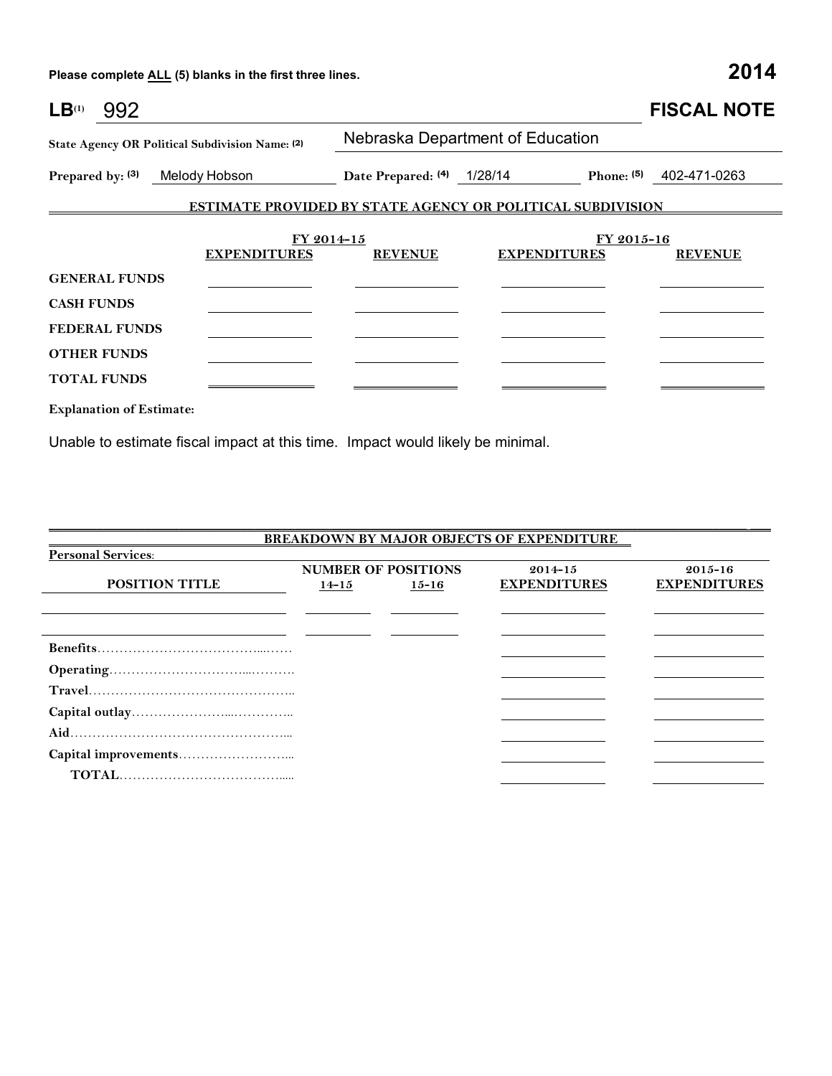**Please complete ALL (5) blanks in the first three lines. 2014**

| $LB^{(1)}$<br>992                               |                                                                   |                                  |                     |              | <b>FISCAL NOTE</b> |  |
|-------------------------------------------------|-------------------------------------------------------------------|----------------------------------|---------------------|--------------|--------------------|--|
| State Agency OR Political Subdivision Name: (2) |                                                                   | Nebraska Department of Education |                     |              |                    |  |
| Prepared by: (3)                                | Melody Hobson                                                     | Date Prepared: (4) 1/28/14       |                     | Phone: $(5)$ | 402-471-0263       |  |
|                                                 | <b>ESTIMATE PROVIDED BY STATE AGENCY OR POLITICAL SUBDIVISION</b> |                                  |                     |              |                    |  |
|                                                 | FY 2014-15                                                        |                                  |                     | FY 2015-16   |                    |  |
|                                                 | <b>EXPENDITURES</b>                                               | <b>REVENUE</b>                   | <b>EXPENDITURES</b> |              | <b>REVENUE</b>     |  |
| <b>GENERAL FUNDS</b>                            |                                                                   |                                  |                     |              |                    |  |
| <b>CASH FUNDS</b>                               |                                                                   |                                  |                     |              |                    |  |
| <b>FEDERAL FUNDS</b>                            |                                                                   |                                  |                     |              |                    |  |
| <b>OTHER FUNDS</b>                              |                                                                   |                                  |                     |              |                    |  |
| <b>TOTAL FUNDS</b>                              |                                                                   |                                  |                     |              |                    |  |
| <b>Explanation of Estimate:</b>                 |                                                                   |                                  |                     |              |                    |  |

Unable to estimate fiscal impact at this time. Impact would likely be minimal.

| <b>BREAKDOWN BY MAJOR OBJECTS OF EXPENDITURE</b> |           |                            |                     |                     |  |  |  |
|--------------------------------------------------|-----------|----------------------------|---------------------|---------------------|--|--|--|
| <b>Personal Services:</b>                        |           |                            |                     |                     |  |  |  |
|                                                  |           | <b>NUMBER OF POSITIONS</b> | $2014 - 15$         | $2015 - 16$         |  |  |  |
| <b>POSITION TITLE</b>                            | $14 - 15$ | $15 - 16$                  | <b>EXPENDITURES</b> | <b>EXPENDITURES</b> |  |  |  |
|                                                  |           |                            |                     |                     |  |  |  |
|                                                  |           |                            |                     |                     |  |  |  |
|                                                  |           |                            |                     |                     |  |  |  |
|                                                  |           |                            |                     |                     |  |  |  |
|                                                  |           |                            |                     |                     |  |  |  |
|                                                  |           |                            |                     |                     |  |  |  |
|                                                  |           |                            |                     |                     |  |  |  |
|                                                  |           |                            |                     |                     |  |  |  |
|                                                  |           |                            |                     |                     |  |  |  |
|                                                  |           |                            |                     |                     |  |  |  |
|                                                  |           |                            |                     |                     |  |  |  |

\_\_\_\_\_\_\_\_\_\_\_\_\_\_\_\_\_\_\_\_\_\_\_\_\_\_\_\_\_\_\_\_\_\_\_\_\_\_\_\_\_\_\_\_\_\_\_\_\_\_\_\_\_\_\_\_\_\_\_\_\_\_\_\_\_\_\_\_\_\_\_\_\_\_\_\_\_\_\_\_\_\_\_\_\_\_\_\_\_\_\_\_\_\_\_\_\_\_\_\_\_\_ \_\_\_